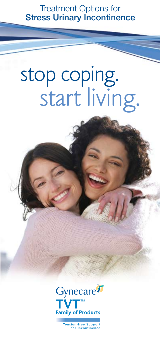Treatment Options for Stress Urinary Incontinence

# stop coping. start living.



**Tension-free Support** for Inconti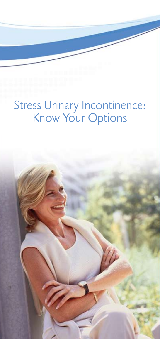## Stress Urinary Incontinence: Know Your Options

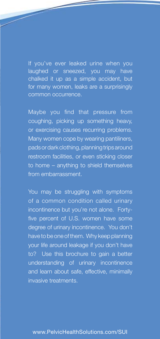If you've ever leaked urine when you laughed or sneezed, you may have chalked it up as a simple accident, but for many women, leaks are a surprisingly common occurrence.

Maybe you find that pressure from coughing, picking up something heavy, or exercising causes recurring problems. Many women cope by wearing pantiliners, pads or dark clothing, planning trips around restroom facilities, or even sticking closer to home – anything to shield themselves from embarrassment.

You may be struggling with symptoms of a common condition called urinary incontinence but you're not alone. Fortyfive percent of U.S. women have some degree of urinary incontinence. You don't have to be one of them. Why keep planning your life around leakage if you don't have to? Use this brochure to gain a better understanding of urinary incontinence and learn about safe, effective, minimally invasive treatments.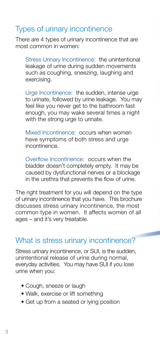## Types of urinary incontinence

There are 4 types of urinary incontinence that are most common in women:

Stress Urinary Incontinence: the unintentional leakage of urine during sudden movements such as coughing, sneezing, laughing and exercising.

Urge Incontinence: the sudden, intense urge to urinate, followed by urine leakage. You may feel like you never get to the bathroom fast enough, you may wake several times a night with the strong urge to urinate.

Mixed Incontinence: occurs when women have symptoms of both stress and urge incontinence.

Overflow Incontinence: occurs when the bladder doesn't completely empty. It may be caused by dysfunctional nerves or a blockage in the urethra that prevents the flow of urine.

The right treatment for you will depend on the type of urinary incontinence that you have. This brochure discusses stress urinary incontinence, the most common type in women. It affects women of all ages – and it's very treatable.

## What is stress urinary incontinence?

Stress urinary incontinence, or SUI, is the sudden, unintentional release of urine during normal, everyday activities. You may have SUI if you lose urine when you:

- Cough, sneeze or laugh
- Walk, exercise or lift something
- Get up from a seated or lying position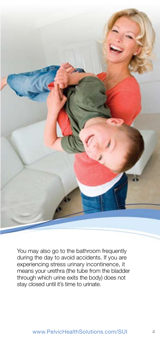

You may also go to the bathroom frequently during the day to avoid accidents. If you are experiencing stress urinary incontinence, it means your urethra (the tube from the bladder through which urine exits the body) does not stay closed until it's time to urinate.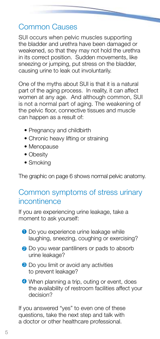## Common Causes

SUI occurs when pelvic muscles supporting the bladder and urethra have been damaged or weakened, so that they may not hold the urethra in its correct position. Sudden movements, like sneezing or jumping, put stress on the bladder, causing urine to leak out involuntarily.

One of the myths about SUI is that it is a natural part of the aging process. In reality, it can affect women at any age. And although common, SUI is not a normal part of aging. The weakening of the pelvic floor, connective tissues and muscle can happen as a result of:

- Pregnancy and childbirth
- Chronic heavy lifting or straining
- Menopause
- Obesity
- Smoking

The graphic on page 6 shows normal pelvic anatomy.

## Common symptoms of stress urinary incontinence

If you are experiencing urine leakage, take a moment to ask yourself:

- **D** Do you experience urine leakage while laughing, sneezing, coughing or exercising?
- 2 Do you wear pantiliners or pads to absorb urine leakage?
- **3** Do you limit or avoid any activities to prevent leakage?
- <sup>4</sup> When planning a trip, outing or event, does the availability of restroom facilities affect your decision?

If you answered "yes" to even one of these questions, take the next step and talk with a doctor or other healthcare professional.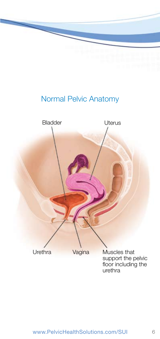## Normal Pelvic Anatomy

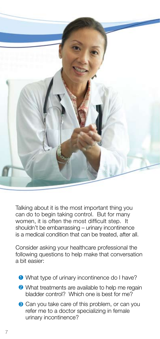

Talking about it is the most important thing you can do to begin taking control. But for many women, it is often the most difficult step. It shouldn't be embarrassing – urinary incontinence is a medical condition that can be treated, after all.

Consider asking your healthcare professional the following questions to help make that conversation a bit easier:

- **O** What type of urinary incontinence do I have?
- **2** What treatments are available to help me regain bladder control? Which one is best for me?
- **3** Can you take care of this problem, or can you refer me to a doctor specializing in female urinary incontinence?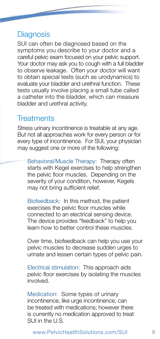#### **Diagnosis**

SUI can often be diagnosed based on the symptoms you describe to your doctor and a careful pelvic exam focused on your pelvic support. Your doctor may ask you to cough with a full bladder to observe leakage. Often your doctor will want to obtain special tests (such as urodynamics) to evaluate your bladder and urethral function. These tests usually involve placing a small tube called a catheter into the bladder, which can measure bladder and urethral activity.

#### Treatments

Stress urinary incontinence is treatable at any age. But not all approaches work for every person or for every type of incontinence. For SUI, your physician may suggest one or more of the following:

Behavioral/Muscle Therapy: Therapy often starts with Kegel exercises to help strengthen the pelvic floor muscles. Depending on the severity of your condition, however, Kegels may not bring sufficient relief.

Biofeedback: In this method, the patient exercises the pelvic floor muscles while connected to an electrical sensing device. The device provides "feedback" to help you learn how to better control these muscles.

Over time, biofeedback can help you use your pelvic muscles to decrease sudden urges to urinate and lessen certain types of pelvic pain.

Electrical stimulation: This approach aids pelvic floor exercises by isolating the muscles involved.

Medication: Some types of urinary incontinence, like urge incontinence, can be treated with medications; however there is currently no medication approved to treat SUI in the U.S.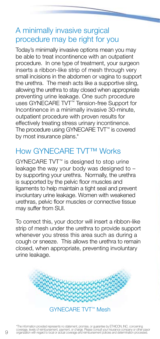#### A minimally invasive surgical procedure may be right for you

Today's minimally invasive options mean you may be able to treat incontinence with an outpatient procedure. In one type of treatment, your surgeon inserts a ribbon-like strip of mesh through very small incisions in the abdomen or vagina to support the urethra. The mesh acts like a supportive sling, allowing the urethra to stay closed when appropriate preventing urine leakage. One such procedure uses GYNECARE TVT™ Tension-free Support for Incontinence in a minimally invasive 30-minute, outpatient procedure with proven results for effectively treating stress urinary incontinence. The procedure using GYNECARE TVT™ is covered by most insurance plans.\*

## How GYNECARE TVT™ Works

GYNECARE TVT™ is designed to stop urine leakage the way your body was designed to – by supporting your urethra. Normally, the urethra is supported by the pelvic floor muscles and ligaments to help maintain a tight seal and prevent involuntary urine leakage. Women with weakened urethras, pelvic floor muscles or connective tissue may suffer from SUI.

To correct this, your doctor will insert a ribbon-like strip of mesh under the urethra to provide support whenever you stress this area such as during a cough or sneeze. This allows the urethra to remain closed, when appropriate, preventing involuntary urine leakage.



GYNECARE TVT™ Mesh

9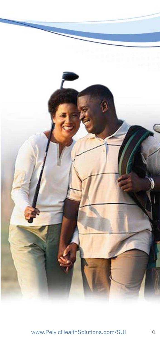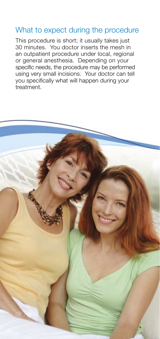#### What to expect during the procedure

This procedure is short; it usually takes just 30 minutes. You doctor inserts the mesh in an outpatient procedure under local, regional or general anesthesia. Depending on your specific needs, the procedure may be performed using very small incisions. Your doctor can tell you specifically what will happen during your treatment.

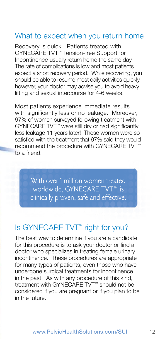#### What to expect when you return home

Recovery is quick. Patients treated with GYNECARE TVT™ Tension-free Support for Incontinence usually return home the same day. The rate of complications is low and most patients expect a short recovery period. While recovering, you should be able to resume most daily activities quickly, however, your doctor may advise you to avoid heavy lifting and sexual intercourse for 4-6 weeks.

Most patients experience immediate results with significantly less or no leakage. Moreover, 97% of women surveyed following treatment with GYNECARE TVT™ were still dry or had significantly less leakage 11 years later! These women were so satisfied with the treatment that 97% said they would recommend the procedure with GYNECARE TVT™ to a friend.

> With over 1 million women treated worldwide, GYNECARE TVT™ is clinically proven, safe and effective.

## Is GYNECARE TVT™ right for you?

The best way to determine if you are a candidate for this procedure is to ask your doctor or find a doctor who specializes in treating female urinary incontinence. These procedures are appropriate for many types of patients, even those who have undergone surgical treatments for incontinence in the past. As with any procedure of this kind, treatment with GYNECARE TVT™ should not be considered if you are pregnant or if you plan to be in the future.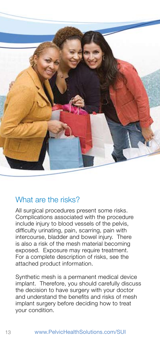

## What are the risks?

All surgical procedures present some risks. Complications associated with the procedure include injury to blood vessels of the pelvis, difficulty urinating, pain, scarring, pain with intercourse, bladder and bowel injury. There is also a risk of the mesh material becoming exposed. Exposure may require treatment. For a complete description of risks, see the attached product information.

Synthetic mesh is a permanent medical device implant. Therefore, you should carefully discuss the decision to have surgery with your doctor and understand the benefits and risks of mesh implant surgery before deciding how to treat your condition.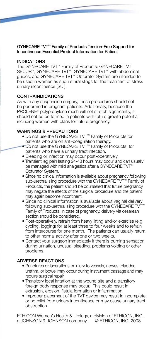#### GYNECARE TVT™ Family of Products Tension-Free Support for Incontinence Essential Product Information for Patient

#### INDICATIONS

The GYNECARE TVT™ Family of Products: GYNECARE TVT SECUR™, GYNECARE TVT™, GYNECARE TVT™ with abdominal guides, and GYNECARE TVT™ Obturator System are intended to be used in women as suburethral slings for the treatment of stress urinary incontinence (SUI).

#### CONTRAINDICATIONS

As with any suspension surgery, these procedures should not be performed in pregnant patients. Additionally, because the PROLENE® polypropylene mesh will not stretch significantly, it should not be performed in patients with future growth potential including women with plans for future pregnancy.

#### WARNINGS & PRECAUTIONS

- Do not use the GYNECARE TVT™ Family of Products for patients who are on anti-coagulation therapy.
- Do not use the GYNECARE TVT™ Family of Products, for patients who have a urinary tract infection.
- Bleeding or infection may occur post-operatively.
- Transient leg pain lasting 24-48 hours may occur and can usually be managed with mild analgesics after a GYNECARE TVT™ Obturator System.
- Since no clinical information is available about pregnancy following sub-urethral sling procedure with the GYNECARE TVT™ Family of Products, the patient should be counseled that future pregnancy may negate the effects of the surgical procedure and the patient may again become incontinent.
- Since no clinical information is available about vaginal delivery following sub-urethral sling procedure with the GYNECARE TVT<sup>™</sup> Family of Products, in case of pregnancy, delivery via cesarean section should be considered.
- Post-operatively, refrain from heavy lifting and/or exercise (e.g. cycling, jogging) for at least three to four weeks and to refrain from intercourse for one month. The patients can usually return to other normal activity after one or two weeks.
- Contact your surgeon immediately if there is burning sensation during urination, unusual bleeding, problems voiding or other problems.

#### ADVERSE REACTIONS

- Punctures or lacerations or injury to vessels, nerves, bladder, urethra, or bowel may occur during instrument passage and may require surgical repair.
- Transitory local irritation at the wound site and a transitory foreign body response may occur. This could result in extrusion, erosion, fistula formation or inflammation.
- Improper placement of the TVT device may result in incomplete or no relief from urinary incontinence or may cause urinary tract obstruction.

ETHICON Women's Health & Urology, a division of ETHICON, INC., a JOHNSON & JOHNSON company. © ETHICON, INC. 2008